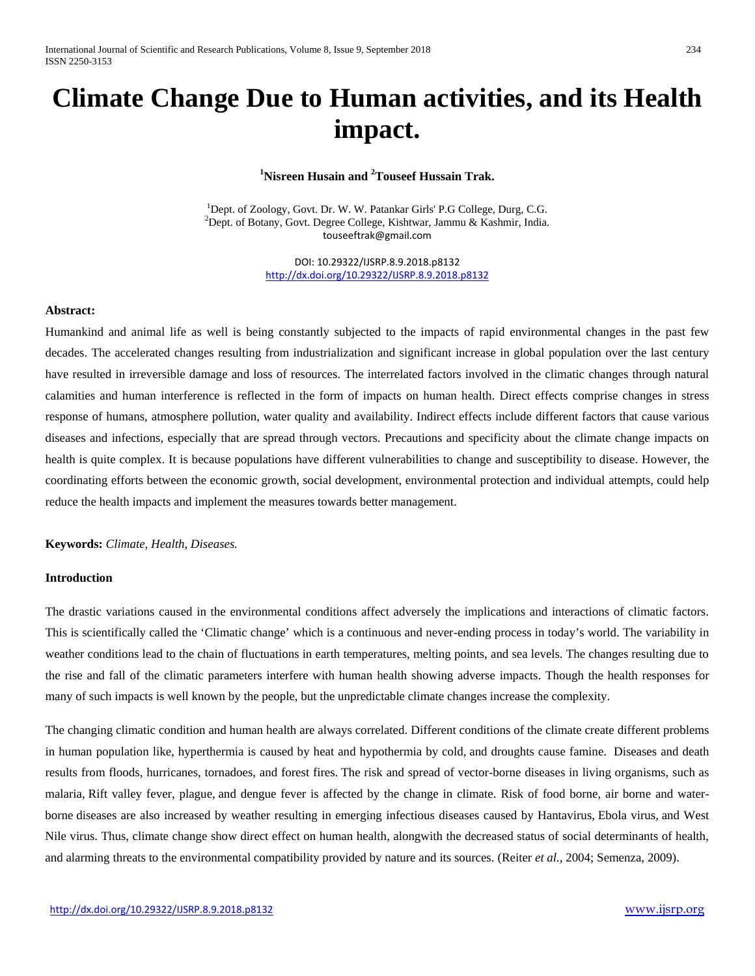# **Climate Change Due to Human activities, and its Health impact.**

## **1 Nisreen Husain and <sup>2</sup> Touseef Hussain Trak.**

<sup>1</sup>Dept. of Zoology, Govt. Dr. W. W. Patankar Girls' P.G College, Durg, C.G. <sup>2</sup>Dept. of Botany, Govt. Degree College, Kishtwar, Jammu & Kashmir, India. [touseeftrak@gmail.com](mailto:touseeftrak@gmail.com)

> DOI: 10.29322/IJSRP.8.9.2018.p8132 <http://dx.doi.org/10.29322/IJSRP.8.9.2018.p8132>

#### **Abstract:**

Humankind and animal life as well is being constantly subjected to the impacts of rapid environmental changes in the past few decades. The accelerated changes resulting from industrialization and significant increase in global population over the last century have resulted in irreversible damage and loss of resources. The interrelated factors involved in the climatic changes through natural calamities and human interference is reflected in the form of impacts on human health. Direct effects comprise changes in stress response of humans, atmosphere pollution, water quality and availability. Indirect effects include different factors that cause various diseases and infections, especially that are spread through vectors. Precautions and specificity about the climate change impacts on health is quite complex. It is because populations have different vulnerabilities to change and susceptibility to disease. However, the coordinating efforts between the economic growth, social development, environmental protection and individual attempts, could help reduce the health impacts and implement the measures towards better management.

**Keywords:** *Climate, Health, Diseases.*

#### **Introduction**

The drastic variations caused in the environmental conditions affect adversely the implications and interactions of climatic factors. This is scientifically called the 'Climatic change' which is a continuous and never-ending process in today's world. The variability in weather conditions lead to the chain of fluctuations in earth temperatures, melting points, and sea levels. The changes resulting due to the rise and fall of the climatic parameters interfere with human health showing adverse impacts. Though the health responses for many of such impacts is well known by the people, but the unpredictable climate changes increase the complexity.

The changing climatic condition and human health are always correlated. Different conditions of the climate create different problems in human population like, hyperthermia is caused by heat and hypothermia by cold, and droughts cause famine. Diseases and death results from floods, hurricanes, tornadoes, and forest fires. The risk and spread of vector-borne diseases in living organisms, such as malaria, Rift valley fever, plague, and dengue fever is affected by the change in climate. Risk of food borne, air borne and waterborne diseases are also increased by weather resulting in emerging infectious diseases caused by Hantavirus, Ebola virus, and West Nile virus. Thus, climate change show direct effect on human health, alongwith the decreased status of social determinants of health, and alarming threats to the environmental compatibility provided by nature and its sources. (Reiter *et al.,* 2004; Semenza, 2009).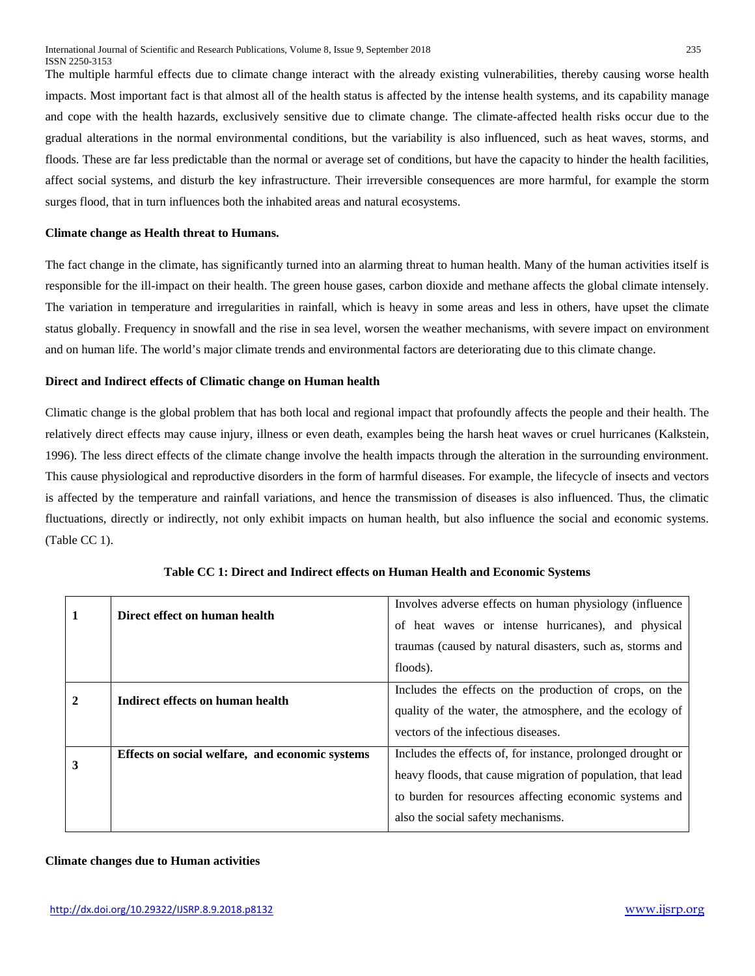The multiple harmful effects due to climate change interact with the already existing vulnerabilities, thereby causing worse health impacts. Most important fact is that almost all of the health status is affected by the intense health systems, and its capability manage and cope with the health hazards, exclusively sensitive due to climate change. The climate-affected health risks occur due to the gradual alterations in the normal environmental conditions, but the variability is also influenced, such as heat waves, storms, and floods. These are far less predictable than the normal or average set of conditions, but have the capacity to hinder the health facilities, affect social systems, and disturb the key infrastructure. Their irreversible consequences are more harmful, for example the storm surges flood, that in turn influences both the inhabited areas and natural ecosystems.

#### **Climate change as Health threat to Humans.**

The fact change in the climate, has significantly turned into an alarming threat to human health. Many of the human activities itself is responsible for the ill-impact on their health. The green house gases, carbon dioxide and methane affects the global climate intensely. The variation in temperature and irregularities in rainfall, which is heavy in some areas and less in others, have upset the climate status globally. Frequency in snowfall and the rise in sea level, worsen the weather mechanisms, with severe impact on environment and on human life. The world's major climate trends and environmental factors are deteriorating due to this climate change.

### **Direct and Indirect effects of Climatic change on Human health**

Climatic change is the global problem that has both local and regional impact that profoundly affects the people and their health. The relatively direct effects may cause injury, illness or even death, examples being the harsh heat waves or cruel hurricanes (Kalkstein, 1996). The less direct effects of the climate change involve the health impacts through the alteration in the surrounding environment. This cause physiological and reproductive disorders in the form of harmful diseases. For example, the lifecycle of insects and vectors is affected by the temperature and rainfall variations, and hence the transmission of diseases is also influenced. Thus, the climatic fluctuations, directly or indirectly, not only exhibit impacts on human health, but also influence the social and economic systems. (Table CC 1).

| 1            | Direct effect on human health                   | Involves adverse effects on human physiology (influence)<br>of heat waves or intense hurricanes), and physical<br>traumas (caused by natural disasters, such as, storms and                                                |
|--------------|-------------------------------------------------|----------------------------------------------------------------------------------------------------------------------------------------------------------------------------------------------------------------------------|
|              |                                                 | floods).                                                                                                                                                                                                                   |
| $\mathbf{2}$ | Indirect effects on human health                | Includes the effects on the production of crops, on the<br>quality of the water, the atmosphere, and the ecology of<br>vectors of the infectious diseases.                                                                 |
| 3            | Effects on social welfare, and economic systems | Includes the effects of, for instance, prolonged drought or<br>heavy floods, that cause migration of population, that lead<br>to burden for resources affecting economic systems and<br>also the social safety mechanisms. |

**Table CC 1: Direct and Indirect effects on Human Health and Economic Systems**

## **Climate changes due to Human activities**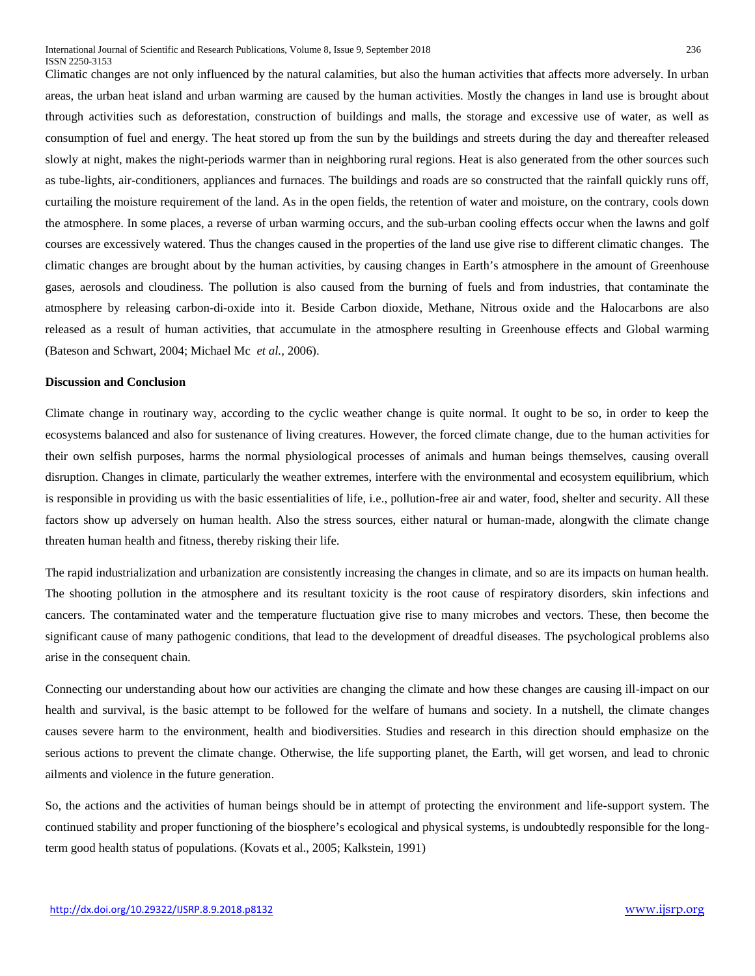Climatic changes are not only influenced by the natural calamities, but also the human activities that affects more adversely. In urban areas, the urban heat island and urban warming are caused by the human activities. Mostly the changes in land use is brought about through activities such as deforestation, construction of buildings and malls, the storage and excessive use of water, as well as consumption of fuel and energy. The heat stored up from the sun by the buildings and streets during the day and thereafter released slowly at night, makes the night-periods warmer than in neighboring rural regions. Heat is also generated from the other sources such as tube-lights, air-conditioners, appliances and furnaces. The buildings and roads are so constructed that the rainfall quickly runs off, curtailing the moisture requirement of the land. As in the open fields, the retention of water and moisture, on the contrary, cools down the atmosphere. In some places, a reverse of urban warming occurs, and the sub-urban cooling effects occur when the lawns and golf courses are excessively watered. Thus the changes caused in the properties of the land use give rise to different climatic changes. The climatic changes are brought about by the human activities, by causing changes in Earth's atmosphere in the amount of Greenhouse gases, aerosols and cloudiness. The pollution is also caused from the burning of fuels and from industries, that contaminate the atmosphere by releasing carbon-di-oxide into it. Beside Carbon dioxide, Methane, Nitrous oxide and the Halocarbons are also released as a result of human activities, that accumulate in the atmosphere resulting in Greenhouse effects and Global warming (Bateson and Schwart, 2004; Michael Mc *et al.,* 2006).

#### **Discussion and Conclusion**

Climate change in routinary way, according to the cyclic weather change is quite normal. It ought to be so, in order to keep the ecosystems balanced and also for sustenance of living creatures. However, the forced climate change, due to the human activities for their own selfish purposes, harms the normal physiological processes of animals and human beings themselves, causing overall disruption. Changes in climate, particularly the weather extremes, interfere with the environmental and ecosystem equilibrium, which is responsible in providing us with the basic essentialities of life, i.e., pollution-free air and water, food, shelter and security. All these factors show up adversely on human health. Also the stress sources, either natural or human-made, alongwith the climate change threaten human health and fitness, thereby risking their life.

The rapid industrialization and urbanization are consistently increasing the changes in climate, and so are its impacts on human health. The shooting pollution in the atmosphere and its resultant toxicity is the root cause of respiratory disorders, skin infections and cancers. The contaminated water and the temperature fluctuation give rise to many microbes and vectors. These, then become the significant cause of many pathogenic conditions, that lead to the development of dreadful diseases. The psychological problems also arise in the consequent chain.

Connecting our understanding about how our activities are changing the climate and how these changes are causing ill-impact on our health and survival, is the basic attempt to be followed for the welfare of humans and society. In a nutshell, the climate changes causes severe harm to the environment, health and biodiversities. Studies and research in this direction should emphasize on the serious actions to prevent the climate change. Otherwise, the life supporting planet, the Earth, will get worsen, and lead to chronic ailments and violence in the future generation.

So, the actions and the activities of human beings should be in attempt of protecting the environment and life-support system. The continued stability and proper functioning of the biosphere's ecological and physical systems, is undoubtedly responsible for the longterm good health status of populations. (Kovats et al., 2005; Kalkstein, 1991)